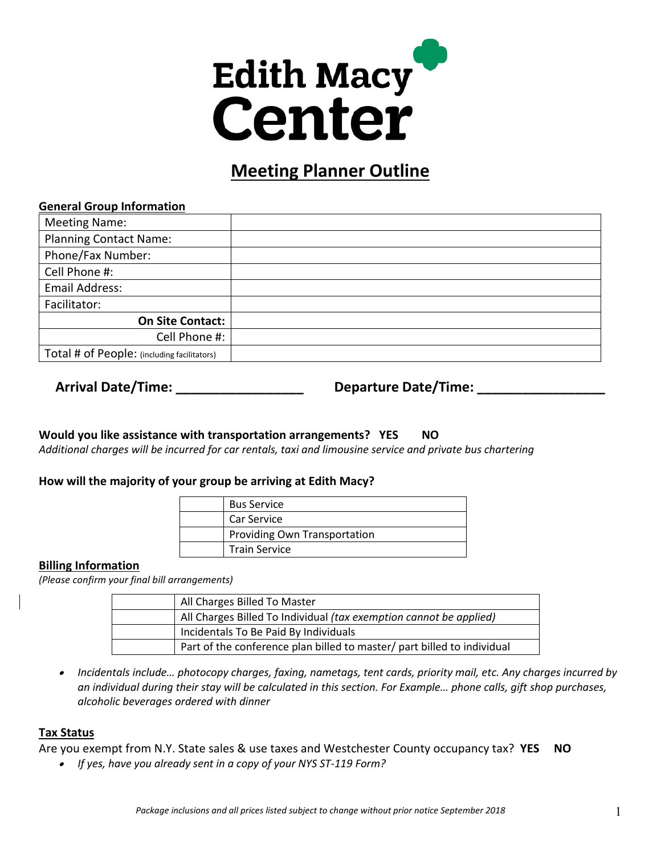# **Edith Macy Center**

# **Meeting Planner Outline**

#### **General Group Information**

| <b>Meeting Name:</b>                        |  |
|---------------------------------------------|--|
| <b>Planning Contact Name:</b>               |  |
| Phone/Fax Number:                           |  |
| Cell Phone #:                               |  |
| Email Address:                              |  |
| Facilitator:                                |  |
| <b>On Site Contact:</b>                     |  |
| Cell Phone #:                               |  |
| Total # of People: (including facilitators) |  |

# Arrival Date/Time: \_\_\_\_\_\_\_\_\_\_\_\_\_\_\_\_\_\_\_\_\_\_\_\_\_\_\_Departure Date/Time: \_\_\_\_\_\_\_\_\_\_\_\_\_

# **Would you like assistance with transportation arrangements? YES NO**

*Additional charges will be incurred for car rentals, taxi and limousine service and private bus chartering* 

# **How will the majority of your group be arriving at Edith Macy?**

| <b>Bus Service</b>           |
|------------------------------|
| Car Service                  |
| Providing Own Transportation |
| <b>Train Service</b>         |

# **Billing Information**

*(Please confirm your final bill arrangements)* 

| All Charges Billed To Master                                            |
|-------------------------------------------------------------------------|
| All Charges Billed To Individual (tax exemption cannot be applied)      |
| Incidentals To Be Paid By Individuals                                   |
| Part of the conference plan billed to master/ part billed to individual |

• *Incidentals include… photocopy charges, faxing, nametags, tent cards, priority mail, etc. Any charges incurred by an individual during their stay will be calculated in this section. For Example… phone calls, gift shop purchases, alcoholic beverages ordered with dinner* 

# **Tax Status**

Are you exempt from N.Y. State sales & use taxes and Westchester County occupancy tax? **YES NO** 

• *If yes, have you already sent in a copy of your NYS ST-119 Form?*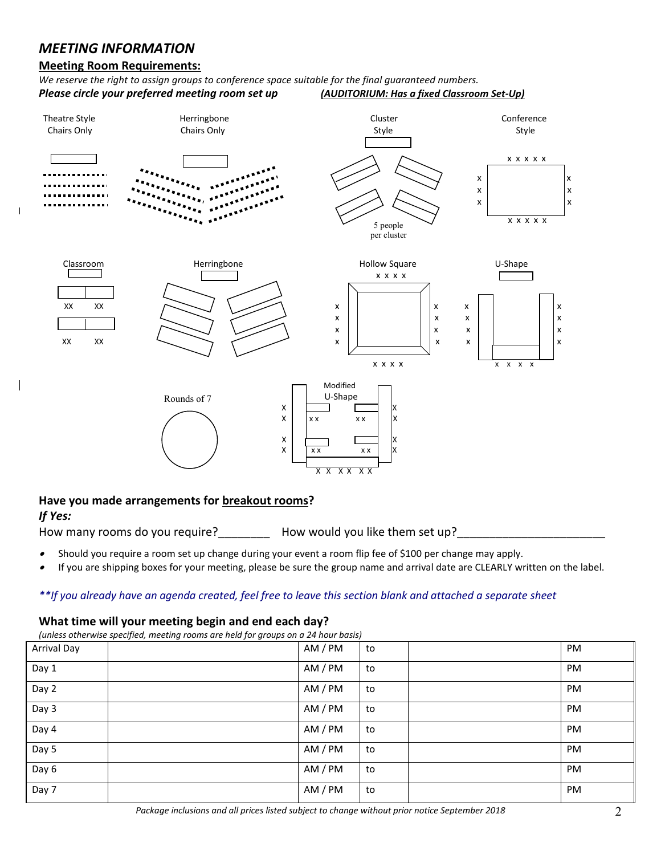# *MEETING INFORMATION*

#### **Meeting Room Requirements:**

*We reserve the right to assign groups to conference space suitable for the final guaranteed numbers. Please circle your preferred meeting room set up (AUDITORIUM: Has a fixed Classroom Set-Up)* 



#### **Have you made arrangements for breakout rooms?**

# *If Yes:*

How many rooms do you require? How would you like them set up?

- •Should you require a room set up change during your event a room flip fee of \$100 per change may apply.
- •If you are shipping boxes for your meeting, please be sure the group name and arrival date are CLEARLY written on the label.

#### *\*\*If you already have an agenda created, feel free to leave this section blank and attached a separate sheet*

#### **What time will your meeting begin and end each day?**

|                    | (unless otherwise specified, meeting rooms are held for groups on a 24 hour basis) |         |    |           |
|--------------------|------------------------------------------------------------------------------------|---------|----|-----------|
| <b>Arrival Day</b> |                                                                                    | AM / PM | to | <b>PM</b> |
| Day 1              |                                                                                    | AM / PM | to | PM        |
| Day 2              |                                                                                    | AM / PM | to | <b>PM</b> |
| Day 3              |                                                                                    | AM / PM | to | <b>PM</b> |
| Day 4              |                                                                                    | AM / PM | to | PM        |
| Day 5              |                                                                                    | AM / PM | to | <b>PM</b> |
| Day 6              |                                                                                    | AM / PM | to | <b>PM</b> |
| Day 7              |                                                                                    | AM / PM | to | <b>PM</b> |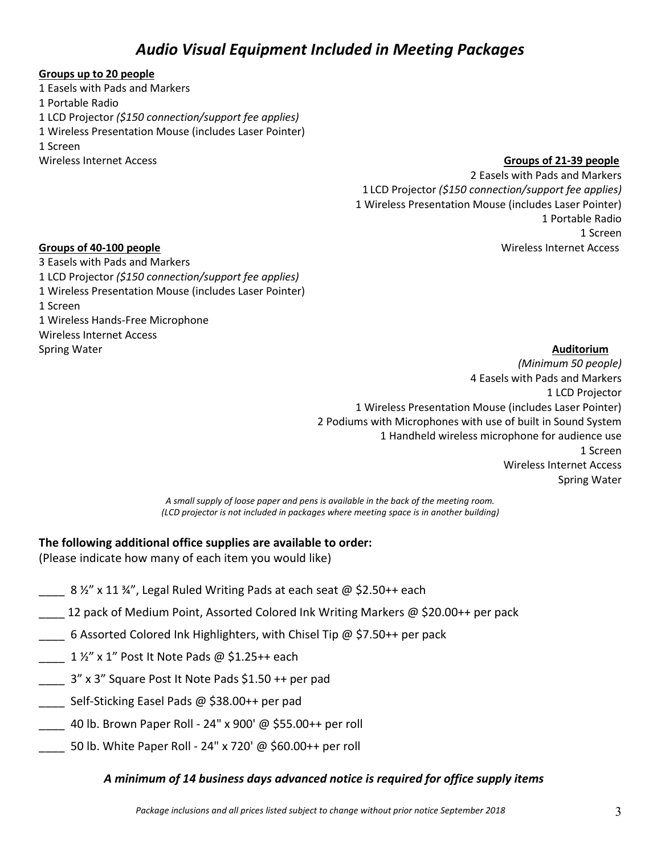# *Audio Visual Equipment Included in Meeting Packages*

#### **Groups up to 20 people**

1 Easels with Pads and Markers 1 Portable Radio 1 LCD Projector *(\$150 connection/support fee applies)*  1 Wireless Presentation Mouse (includes Laser Pointer) 1 Screen Wireless Internet Access

**Groups of 21-39 people** 

2 Easels with Pads and Markers 1 LCD Projector *(\$150 connection/support fee applies)*  1 Wireless Presentation Mouse (includes Laser Pointer) 1 Portable Radio 1 Screen Wireless Internet Access

# **Groups of 40-100 people**

3 Easels with Pads and Markers 1 LCD Projector *(\$150 connection/support fee applies)*  1 Wireless Presentation Mouse (includes Laser Pointer) 1 Screen 1 Wireless Hands-Free Microphone Wireless Internet Access Spring Water

#### **Auditorium**

*(Minimum 50 people)*  4 Easels with Pads and Markers 1 LCD Projector 1 Wireless Presentation Mouse (includes Laser Pointer) 2 Podiums with Microphones with use of built in Sound System 1 Handheld wireless microphone for audience use 1 Screen Wireless Internet Access Spring Water

*A small supply of loose paper and pens is available in the back of the meeting room. (LCD projector is not included in packages where meeting space is in another building)* 

# **The following additional office supplies are available to order:**

(Please indicate how many of each item you would like)

- $8 \frac{1}{2}$  x 11 ¾", Legal Ruled Writing Pads at each seat @ \$2.50++ each
- 12 pack of Medium Point, Assorted Colored Ink Writing Markers @ \$20.00++ per pack
- 6 Assorted Colored Ink Highlighters, with Chisel Tip @ \$7.50++ per pack
- $1$  ½" x 1" Post It Note Pads @ \$1.25++ each
- \_\_\_\_ 3" x 3" Square Post It Note Pads \$1.50 ++ per pad
- Self-Sticking Easel Pads @ \$38.00++ per pad
- \_\_\_\_ 40 lb. Brown Paper Roll 24" x 900' @ \$55.00++ per roll
- \_\_\_\_ 50 lb. White Paper Roll 24" x 720' @ \$60.00++ per roll

# *A minimum of 14 business days advanced notice is required for office supply items*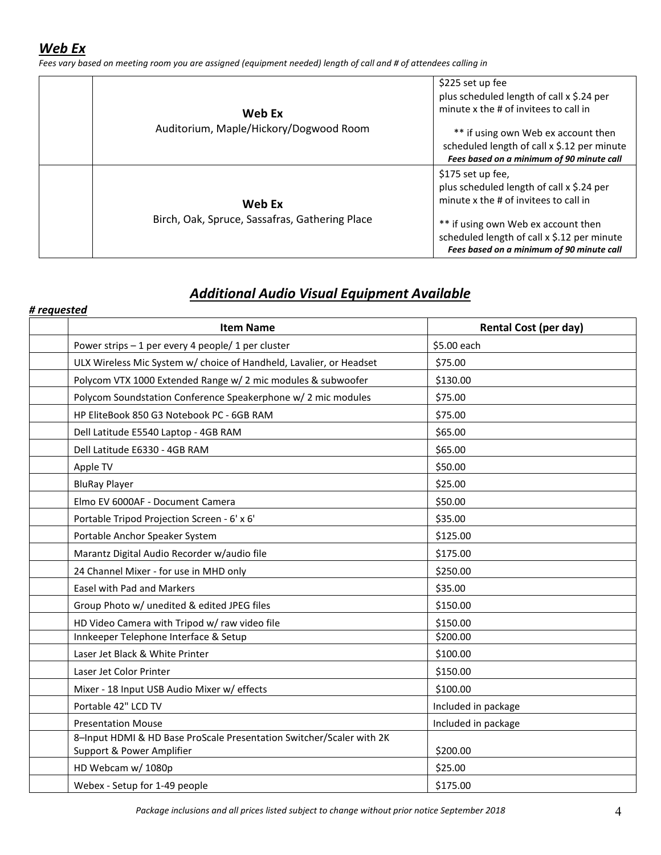*Fees vary based on meeting room you are assigned (equipment needed) length of call and # of attendees calling in* 

| Web Ex                                                   | \$225 set up fee<br>plus scheduled length of call x \$.24 per<br>minute x the # of invitees to call in                                                                                                                                     |
|----------------------------------------------------------|--------------------------------------------------------------------------------------------------------------------------------------------------------------------------------------------------------------------------------------------|
| Auditorium, Maple/Hickory/Dogwood Room                   | ** if using own Web ex account then<br>scheduled length of call x \$.12 per minute<br>Fees based on a minimum of 90 minute call                                                                                                            |
| Web Ex<br>Birch, Oak, Spruce, Sassafras, Gathering Place | \$175 set up fee,<br>plus scheduled length of call x \$.24 per<br>minute x the # of invitees to call in<br>** if using own Web ex account then<br>scheduled length of call x \$.12 per minute<br>Fees based on a minimum of 90 minute call |

# *Additional Audio Visual Equipment Available*

| # requested                                                                                       |                              |
|---------------------------------------------------------------------------------------------------|------------------------------|
| <b>Item Name</b>                                                                                  | <b>Rental Cost (per day)</b> |
| Power strips - 1 per every 4 people/ 1 per cluster                                                | \$5.00 each                  |
| ULX Wireless Mic System w/ choice of Handheld, Lavalier, or Headset                               | \$75.00                      |
| Polycom VTX 1000 Extended Range w/ 2 mic modules & subwoofer                                      | \$130.00                     |
| Polycom Soundstation Conference Speakerphone w/ 2 mic modules                                     | \$75.00                      |
| HP EliteBook 850 G3 Notebook PC - 6GB RAM                                                         | \$75.00                      |
| Dell Latitude E5540 Laptop - 4GB RAM                                                              | \$65.00                      |
| Dell Latitude E6330 - 4GB RAM                                                                     | \$65.00                      |
| Apple TV                                                                                          | \$50.00                      |
| <b>BluRay Player</b>                                                                              | \$25.00                      |
| Elmo EV 6000AF - Document Camera                                                                  | \$50.00                      |
| Portable Tripod Projection Screen - 6' x 6'                                                       | \$35.00                      |
| Portable Anchor Speaker System                                                                    | \$125.00                     |
| Marantz Digital Audio Recorder w/audio file                                                       | \$175.00                     |
| 24 Channel Mixer - for use in MHD only                                                            | \$250.00                     |
| <b>Easel with Pad and Markers</b>                                                                 | \$35.00                      |
| Group Photo w/ unedited & edited JPEG files                                                       | \$150.00                     |
| HD Video Camera with Tripod w/ raw video file                                                     | \$150.00                     |
| Innkeeper Telephone Interface & Setup                                                             | \$200.00                     |
| Laser Jet Black & White Printer                                                                   | \$100.00                     |
| Laser Jet Color Printer                                                                           | \$150.00                     |
| Mixer - 18 Input USB Audio Mixer w/ effects                                                       | \$100.00                     |
| Portable 42" LCD TV                                                                               | Included in package          |
| <b>Presentation Mouse</b>                                                                         | Included in package          |
| 8-Input HDMI & HD Base ProScale Presentation Switcher/Scaler with 2K<br>Support & Power Amplifier | \$200.00                     |
| HD Webcam w/ 1080p                                                                                | \$25.00                      |
| Webex - Setup for 1-49 people                                                                     | \$175.00                     |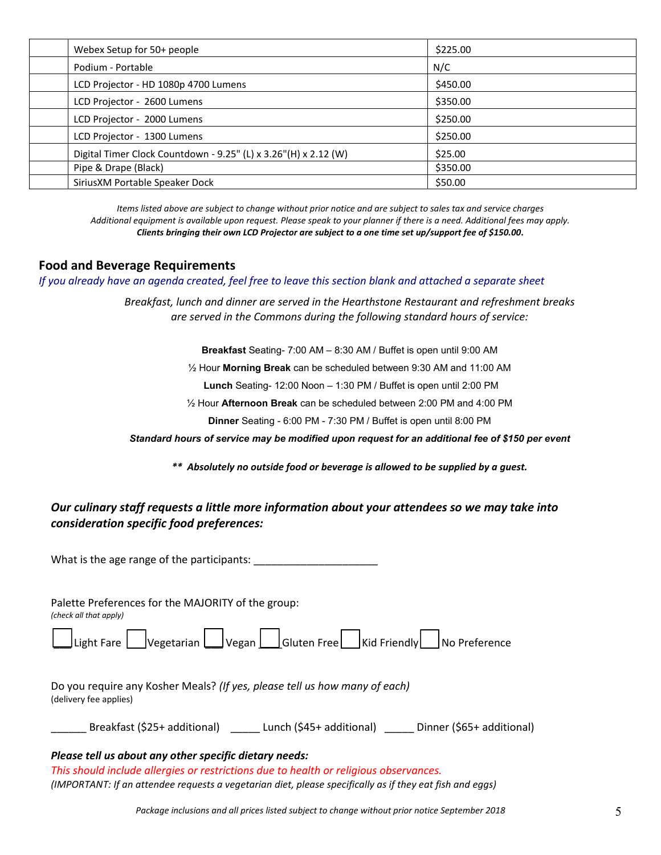| Webex Setup for 50+ people           |                                                                 | \$225.00 |  |
|--------------------------------------|-----------------------------------------------------------------|----------|--|
| Podium - Portable                    |                                                                 | N/C      |  |
| LCD Projector - HD 1080p 4700 Lumens |                                                                 | \$450.00 |  |
| LCD Projector - 2600 Lumens          |                                                                 | \$350.00 |  |
| LCD Projector - 2000 Lumens          |                                                                 | \$250.00 |  |
| LCD Projector - 1300 Lumens          |                                                                 | \$250.00 |  |
|                                      | Digital Timer Clock Countdown - 9.25" (L) x 3.26"(H) x 2.12 (W) | \$25.00  |  |
| Pipe & Drape (Black)                 |                                                                 | \$350.00 |  |
| SiriusXM Portable Speaker Dock       |                                                                 | \$50.00  |  |

*Items listed above are subject to change without prior notice and are subject to sales tax and service charges Additional equipment is available upon request. Please speak to your planner if there is a need. Additional fees may apply. Clients bringing their own LCD Projector are subject to a one time set up/support fee of \$150.00***.** 

#### **Food and Beverage Requirements**

*If you already have an agenda created, feel free to leave this section blank and attached a separate sheet* 

*Breakfast, lunch and dinner are served in the Hearthstone Restaurant and refreshment breaks are served in the Commons during the following standard hours of service:* 

**Breakfast** Seating- 7:00 AM – 8:30 AM / Buffet is open until 9:00 AM

½ Hour **Morning Break** can be scheduled between 9:30 AM and 11:00 AM

**Lunch** Seating- 12:00 Noon – 1:30 PM / Buffet is open until 2:00 PM

½ Hour **Afternoon Break** can be scheduled between 2:00 PM and 4:00 PM

**Dinner** Seating - 6:00 PM - 7:30 PM / Buffet is open until 8:00 PM

*Standard hours of service may be modified upon request for an additional fee of \$150 per event* 

*\*\* Absolutely no outside food or beverage is allowed to be supplied by a guest.* 

# *Our culinary staff requests a little more information about your attendees so we may take into consideration specific food preferences:*

What is the age range of the participants:

Palette Preferences for the MAJORITY of the group: *(check all that apply)*  Light Fare  $\Box$  Vegetarian  $\Box$  Vegan  $\Box$  Gluten Free  $\Box$  Kid Friendly  $\Box$  No Preference Do you require any Kosher Meals? *(If yes, please tell us how many of each)*  (delivery fee applies) Breakfast (\$25+ additional) \_\_\_\_\_ Lunch (\$45+ additional) \_\_\_\_\_ Dinner (\$65+ additional)

#### *Please tell us about any other specific dietary needs:*

*This should include allergies or restrictions due to health or religious observances. (IMPORTANT: If an attendee requests a vegetarian diet, please specifically as if they eat fish and eggs)*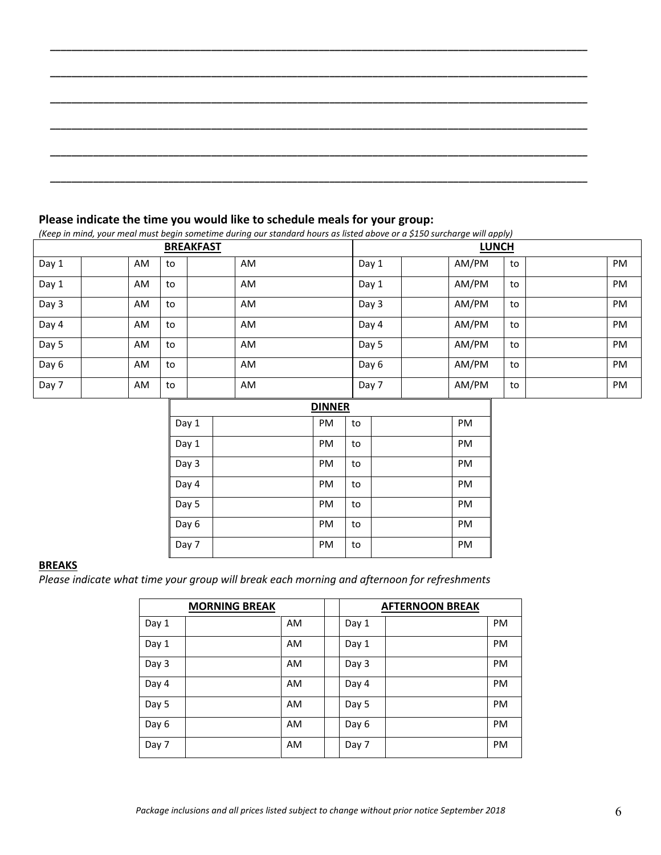*\_\_\_\_\_\_\_\_\_\_\_\_\_\_\_\_\_\_\_\_\_\_\_\_\_\_\_\_\_\_\_\_\_\_\_\_\_\_\_\_\_\_\_\_\_\_\_\_\_\_\_\_\_\_\_\_\_\_\_\_\_\_\_\_\_\_\_\_\_\_\_\_\_\_\_\_\_\_\_\_\_\_\_\_\_\_\_\_\_\_\_\_\_\_\_\_\_\_\_\_* 

#### **Please indicate the time you would like to schedule meals for your group:**

*(Keep in mind, your meal must begin sometime during our standard hours as listed above or a \$150 surcharge will apply)* 

| <b>BREAKFAST</b> |  |     |    | <b>LUNCH</b> |       |       |    |           |
|------------------|--|-----|----|--------------|-------|-------|----|-----------|
| Day 1            |  | AM. | to | AM.          | Day 1 | AM/PM | to | PM        |
| Day 1            |  | AM. | to | AM.          | Day 1 | AM/PM | to | PM        |
| Day 3            |  | AM. | to | AM.          | Day 3 | AM/PM | to | PM        |
| Day 4            |  | AM. | to | AM.          | Day 4 | AM/PM | to | PM        |
| Day 5            |  | AM. | to | <b>AM</b>    | Day 5 | AM/PM | to | PM        |
| Day 6            |  | AM. | to | AM.          | Day 6 | AM/PM | to | PM        |
| Day 7            |  | AM. | to | AM.          | Day 7 | AM/PM | to | <b>PM</b> |

|       | <b>DINNER</b> |           |    |  |           |  |  |  |
|-------|---------------|-----------|----|--|-----------|--|--|--|
| Day 1 |               | PM        | to |  | PM        |  |  |  |
| Day 1 |               | PM        | to |  | PM        |  |  |  |
| Day 3 |               | <b>PM</b> | to |  | PM        |  |  |  |
| Day 4 |               | <b>PM</b> | to |  | <b>PM</b> |  |  |  |
| Day 5 |               | <b>PM</b> | to |  | <b>PM</b> |  |  |  |
| Day 6 |               | <b>PM</b> | to |  | <b>PM</b> |  |  |  |
| Day 7 |               | PM        | to |  | PM        |  |  |  |

#### **BREAKS**

*Please indicate what time your group will break each morning and afternoon for refreshments* 

|       | <b>MORNING BREAK</b> |           |       | <b>AFTERNOON BREAK</b> |           |
|-------|----------------------|-----------|-------|------------------------|-----------|
| Day 1 |                      | <b>AM</b> | Day 1 |                        | <b>PM</b> |
| Day 1 |                      | <b>AM</b> | Day 1 |                        | <b>PM</b> |
| Day 3 |                      | <b>AM</b> | Day 3 |                        | <b>PM</b> |
| Day 4 |                      | <b>AM</b> | Day 4 |                        | <b>PM</b> |
| Day 5 |                      | <b>AM</b> | Day 5 |                        | <b>PM</b> |
| Day 6 |                      | <b>AM</b> | Day 6 |                        | <b>PM</b> |
| Day 7 |                      | AM        | Day 7 |                        | <b>PM</b> |